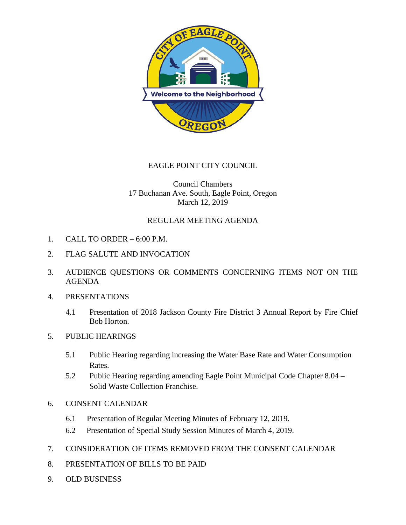

# EAGLE POINT CITY COUNCIL

## Council Chambers 17 Buchanan Ave. South, Eagle Point, Oregon March 12, 2019

### REGULAR MEETING AGENDA

- 1. CALL TO ORDER 6:00 P.M.
- 2. FLAG SALUTE AND INVOCATION
- 3. AUDIENCE QUESTIONS OR COMMENTS CONCERNING ITEMS NOT ON THE AGENDA
- 4. PRESENTATIONS
	- 4.1 Presentation of 2018 Jackson County Fire District 3 Annual Report by Fire Chief Bob Horton.
- 5. PUBLIC HEARINGS
	- 5.1 Public Hearing regarding increasing the Water Base Rate and Water Consumption Rates.
	- 5.2 Public Hearing regarding amending Eagle Point Municipal Code Chapter 8.04 Solid Waste Collection Franchise.
- 6. CONSENT CALENDAR
	- 6.1 Presentation of Regular Meeting Minutes of February 12, 2019.
	- 6.2 Presentation of Special Study Session Minutes of March 4, 2019.
- 7. CONSIDERATION OF ITEMS REMOVED FROM THE CONSENT CALENDAR
- 8. PRESENTATION OF BILLS TO BE PAID
- 9. OLD BUSINESS